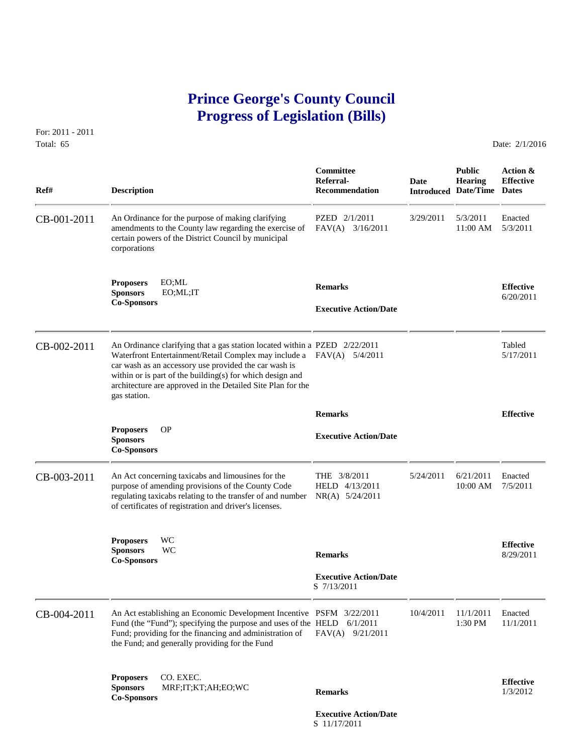## **Prince George's County Council Progress of Legislation (Bills)**

For: 2011 - 2011 Total: 65 Date: 2/1/2016

 **Committee Public Action & Referral- Date Hearing Effective Ref# Description Recommendation Introduced Date/Time Dates** CB-001-2011 An Ordinance for the purpose of making clarifying PZED 2/1/2011 3/29/2011 5/3/2011 Enacted amendments to the County law regarding the exercise of FAV(A) 3/16/2011 11:00 AM 5/3/2011 amendments to the County law regarding the exercise of certain powers of the District Council by municipal corporations **Proposers** EO;ML<br> **Sponsors** EO;ML;IT **Remarks Executive Action/Date 6/20/2011 Co-Sponsors** CB-002-2011 An Ordinance clarifying that a gas station located within a PZED 2/22/2011 Tabled<br>Waterfront Entertainment/Retail Complex may include a FAV(A) 5/4/2011 5/17/2011 Waterfront Entertainment/Retail Complex may include a FAV(A) 5/4/2011 car wash as an accessory use provided the car wash is within or is part of the building(s) for which design and architecture are approved in the Detailed Site Plan for the gas station.  **Remarks Effective Proposers** OP **Executive Action/Date Sponsors Co-Sponsors**  CB-003-2011 An Act concerning taxicabs and limousines for the THE 3/8/2011 5/24/2011 6/21/2011 Enacted purpose of amending provisions of the County Code HELD 4/13/2011 10:00 AM 7/5/2011 purpose of amending provisions of the County Code regulating taxicabs relating to the transfer of and number NR(A) 5/24/2011 of certificates of registration and driver's licenses. **Proposers** WC **Effective Sponsors** WC **Remarks** 8/29/2011 **Co-Sponsors Executive Action/Date** S 7/13/2011 CB-004-2011 An Act establishing an Economic Development Incentive PSFM 3/22/2011 10/4/2011 11/1/2011 Enacted<br>Fund (the "Fund"); specifying the purpose and uses of the HELD 6/1/2011 10/4/2011 1:30 PM 11/1/2011 Fund (the "Fund"); specifying the purpose and uses of the HELD 6/1/2011 Fund; providing for the financing and administration of FAV(A) 9/21/2011 the Fund; and generally providing for the Fund **Proposers** CO. EXEC. **Effective Sponsors** MRF;IT;KT;AH;EO;WC **Remarks** 1/3/2012 **Co-Sponsors Executive Action/Date**

S 11/17/2011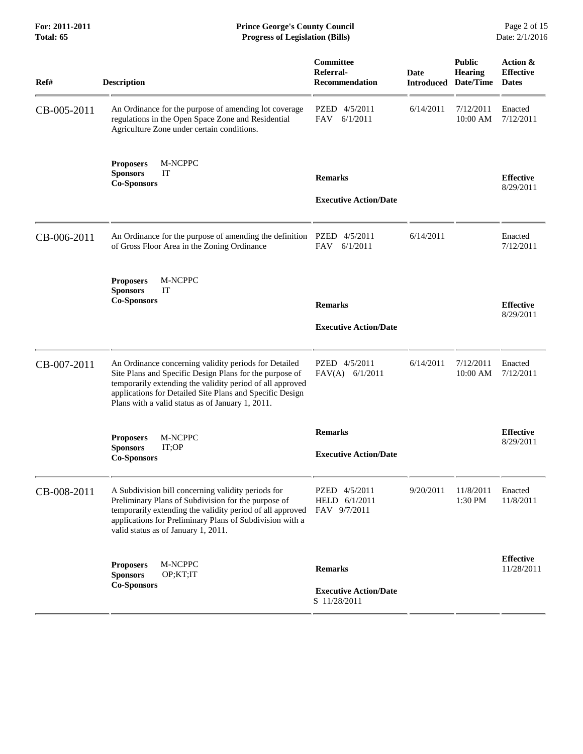**For: 2011-2011 Prince George's County Council** Page 2 of 15<br> **Prince George's County Council** Page 2 of 15<br> **Progress of Legislation (Bills)** Date: 2/1/2016 **Total: 65 Progress of Legislation (Bills)** 

| Ref#        | <b>Description</b>                                                                                                                                                                                                                                                                            | Committee<br>Referral-<br><b>Recommendation</b> | Date<br><b>Introduced</b> | <b>Public</b><br><b>Hearing</b><br>Date/Time | Action &<br><b>Effective</b><br><b>Dates</b> |
|-------------|-----------------------------------------------------------------------------------------------------------------------------------------------------------------------------------------------------------------------------------------------------------------------------------------------|-------------------------------------------------|---------------------------|----------------------------------------------|----------------------------------------------|
| CB-005-2011 | An Ordinance for the purpose of amending lot coverage<br>regulations in the Open Space Zone and Residential<br>Agriculture Zone under certain conditions.                                                                                                                                     | PZED 4/5/2011<br>6/1/2011<br>FAV                | 6/14/2011                 | 7/12/2011<br>10:00 AM                        | Enacted<br>7/12/2011                         |
|             | M-NCPPC<br><b>Proposers</b><br>IT<br><b>Sponsors</b><br><b>Co-Sponsors</b>                                                                                                                                                                                                                    | <b>Remarks</b><br><b>Executive Action/Date</b>  |                           |                                              | <b>Effective</b><br>8/29/2011                |
| CB-006-2011 | An Ordinance for the purpose of amending the definition PZED 4/5/2011<br>of Gross Floor Area in the Zoning Ordinance                                                                                                                                                                          | 6/1/2011<br><b>FAV</b>                          | 6/14/2011                 |                                              | Enacted<br>7/12/2011                         |
|             | M-NCPPC<br><b>Proposers</b><br><b>Sponsors</b><br>IT<br><b>Co-Sponsors</b>                                                                                                                                                                                                                    | <b>Remarks</b><br><b>Executive Action/Date</b>  |                           |                                              | <b>Effective</b><br>8/29/2011                |
| CB-007-2011 | An Ordinance concerning validity periods for Detailed<br>Site Plans and Specific Design Plans for the purpose of<br>temporarily extending the validity period of all approved<br>applications for Detailed Site Plans and Specific Design<br>Plans with a valid status as of January 1, 2011. | PZED 4/5/2011<br>$FAV(A)$ 6/1/2011              | 6/14/2011                 | 7/12/2011<br>10:00 AM                        | Enacted<br>7/12/2011                         |
|             | M-NCPPC<br><b>Proposers</b><br>IT;OP<br><b>Sponsors</b><br><b>Co-Sponsors</b>                                                                                                                                                                                                                 | <b>Remarks</b><br><b>Executive Action/Date</b>  |                           |                                              | <b>Effective</b><br>8/29/2011                |
| CB-008-2011 | A Subdivision bill concerning validity periods for<br>Preliminary Plans of Subdivision for the purpose of<br>temporarily extending the validity period of all approved<br>applications for Preliminary Plans of Subdivision with a<br>valid status as of January 1, 2011.                     | PZED 4/5/2011<br>HELD 6/1/2011<br>FAV 9/7/2011  | 9/20/2011                 | 11/8/2011<br>1:30 PM                         | Enacted<br>11/8/2011                         |
|             | M-NCPPC<br><b>Proposers</b><br><b>Sponsors</b><br>OP;KT;IT<br><b>Co-Sponsors</b>                                                                                                                                                                                                              | <b>Remarks</b><br><b>Executive Action/Date</b>  |                           |                                              | <b>Effective</b><br>11/28/2011               |
|             |                                                                                                                                                                                                                                                                                               | S 11/28/2011                                    |                           |                                              |                                              |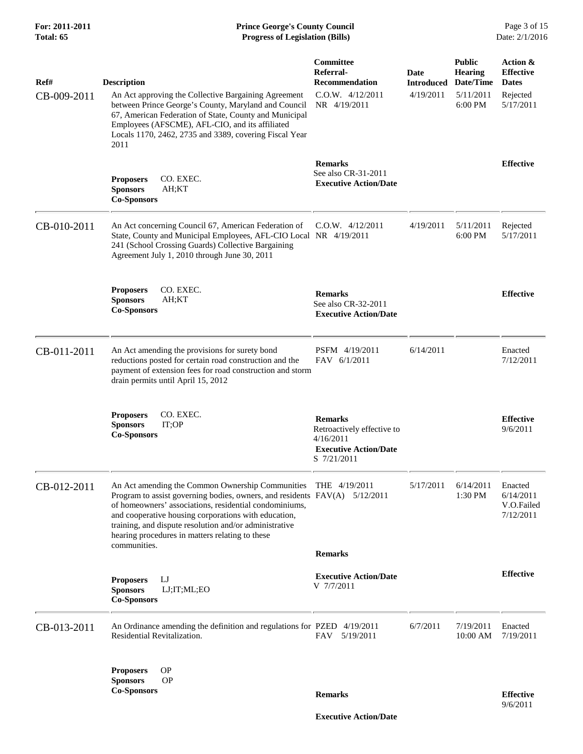| Ref#        | <b>Description</b>                                                                                                                                                                                                                                                                                                                                                                          | Committee<br>Referral-<br><b>Recommendation</b>                                                          | Date<br><b>Introduced</b> | <b>Public</b><br><b>Hearing</b><br>Date/Time | Action &<br><b>Effective</b><br><b>Dates</b>    |
|-------------|---------------------------------------------------------------------------------------------------------------------------------------------------------------------------------------------------------------------------------------------------------------------------------------------------------------------------------------------------------------------------------------------|----------------------------------------------------------------------------------------------------------|---------------------------|----------------------------------------------|-------------------------------------------------|
| CB-009-2011 | An Act approving the Collective Bargaining Agreement<br>between Prince George's County, Maryland and Council<br>67, American Federation of State, County and Municipal<br>Employees (AFSCME), AFL-CIO, and its affiliated<br>Locals 1170, 2462, 2735 and 3389, covering Fiscal Year<br>2011                                                                                                 | $C.0.W.$ $4/12/2011$<br>NR 4/19/2011                                                                     | 4/19/2011                 | 5/11/2011<br>6:00 PM                         | Rejected<br>5/17/2011                           |
|             | <b>Proposers</b><br>CO. EXEC.<br><b>Sponsors</b><br>AH;KT<br><b>Co-Sponsors</b>                                                                                                                                                                                                                                                                                                             | <b>Remarks</b><br>See also CR-31-2011<br><b>Executive Action/Date</b>                                    |                           |                                              | <b>Effective</b>                                |
| CB-010-2011 | An Act concerning Council 67, American Federation of<br>State, County and Municipal Employees, AFL-CIO Local NR 4/19/2011<br>241 (School Crossing Guards) Collective Bargaining<br>Agreement July 1, 2010 through June 30, 2011                                                                                                                                                             | $C.0.W.$ 4/12/2011                                                                                       | 4/19/2011                 | 5/11/2011<br>6:00 PM                         | Rejected<br>5/17/2011                           |
|             | <b>Proposers</b><br>CO. EXEC.<br><b>Sponsors</b><br>AH;KT<br><b>Co-Sponsors</b>                                                                                                                                                                                                                                                                                                             | <b>Remarks</b><br>See also CR-32-2011<br><b>Executive Action/Date</b>                                    |                           |                                              | <b>Effective</b>                                |
| CB-011-2011 | An Act amending the provisions for surety bond<br>reductions posted for certain road construction and the<br>payment of extension fees for road construction and storm<br>drain permits until April 15, 2012                                                                                                                                                                                | PSFM 4/19/2011<br>FAV 6/1/2011                                                                           | 6/14/2011                 |                                              | Enacted<br>7/12/2011                            |
|             | <b>Proposers</b><br>CO. EXEC.<br><b>Sponsors</b><br>IT;OP<br><b>Co-Sponsors</b>                                                                                                                                                                                                                                                                                                             | <b>Remarks</b><br>Retroactively effective to<br>4/16/2011<br><b>Executive Action/Date</b><br>S 7/21/2011 |                           |                                              | <b>Effective</b><br>9/6/2011                    |
| CB-012-2011 | An Act amending the Common Ownership Communities THE 4/19/2011<br>Program to assist governing bodies, owners, and residents FAV(A) 5/12/2011<br>of homeowners' associations, residential condominiums,<br>and cooperative housing corporations with education,<br>training, and dispute resolution and/or administrative<br>hearing procedures in matters relating to these<br>communities. |                                                                                                          | 5/17/2011                 | 6/14/2011<br>1:30 PM                         | Enacted<br>6/14/2011<br>V.O.Failed<br>7/12/2011 |
|             |                                                                                                                                                                                                                                                                                                                                                                                             | <b>Remarks</b>                                                                                           |                           |                                              |                                                 |
|             | IJ<br><b>Proposers</b><br><b>Sponsors</b><br>LJ;IT;ML;EO<br><b>Co-Sponsors</b>                                                                                                                                                                                                                                                                                                              | <b>Executive Action/Date</b><br>V 7/7/2011                                                               |                           |                                              | <b>Effective</b>                                |
| CB-013-2011 | An Ordinance amending the definition and regulations for PZED 4/19/2011<br>Residential Revitalization.                                                                                                                                                                                                                                                                                      | 5/19/2011<br>FAV                                                                                         | 6/7/2011                  | 7/19/2011<br>10:00 AM                        | Enacted<br>7/19/2011                            |
|             | <b>OP</b><br><b>Proposers</b><br><b>Sponsors</b><br><b>OP</b><br><b>Co-Sponsors</b>                                                                                                                                                                                                                                                                                                         | <b>Remarks</b>                                                                                           |                           |                                              | <b>Effective</b><br>9/6/2011                    |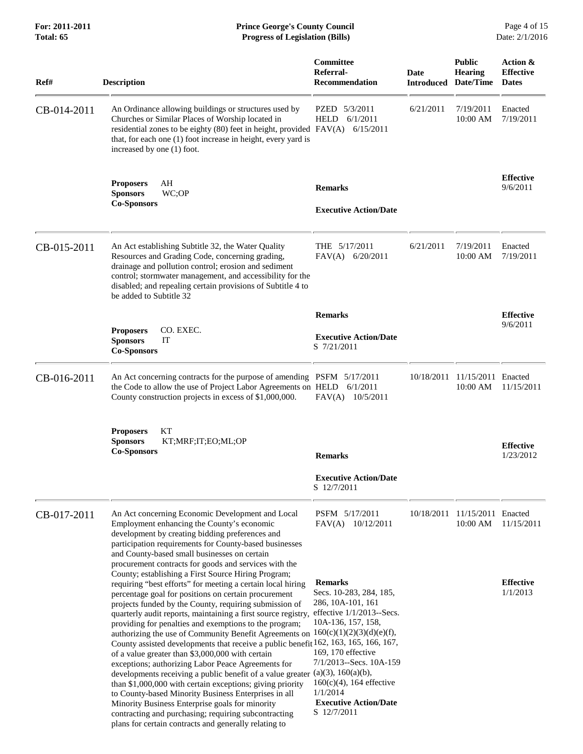| Ref#        | <b>Description</b>                                                                                                                                                                                                                                                                                                                                                                                                                                                                                                                                                                                                                                                                                                                                                                                                                                                                                                                                                                                                                      | Committee<br>Referral-<br><b>Recommendation</b>                                                                                                                                                                                                                 | Date<br><b>Introduced</b> | <b>Public</b><br><b>Hearing</b><br>Date/Time | Action &<br><b>Effective</b><br><b>Dates</b> |
|-------------|-----------------------------------------------------------------------------------------------------------------------------------------------------------------------------------------------------------------------------------------------------------------------------------------------------------------------------------------------------------------------------------------------------------------------------------------------------------------------------------------------------------------------------------------------------------------------------------------------------------------------------------------------------------------------------------------------------------------------------------------------------------------------------------------------------------------------------------------------------------------------------------------------------------------------------------------------------------------------------------------------------------------------------------------|-----------------------------------------------------------------------------------------------------------------------------------------------------------------------------------------------------------------------------------------------------------------|---------------------------|----------------------------------------------|----------------------------------------------|
| CB-014-2011 | An Ordinance allowing buildings or structures used by<br>Churches or Similar Places of Worship located in<br>residential zones to be eighty (80) feet in height, provided $FAV(A)$ 6/15/2011<br>that, for each one (1) foot increase in height, every yard is<br>increased by one (1) foot.                                                                                                                                                                                                                                                                                                                                                                                                                                                                                                                                                                                                                                                                                                                                             | PZED 5/3/2011<br>HELD<br>6/1/2011                                                                                                                                                                                                                               | 6/21/2011                 | 7/19/2011<br>10:00 AM                        | Enacted<br>7/19/2011                         |
|             | AH<br><b>Proposers</b><br>WC;OP<br><b>Sponsors</b><br><b>Co-Sponsors</b>                                                                                                                                                                                                                                                                                                                                                                                                                                                                                                                                                                                                                                                                                                                                                                                                                                                                                                                                                                | <b>Remarks</b>                                                                                                                                                                                                                                                  |                           |                                              | <b>Effective</b><br>9/6/2011                 |
|             |                                                                                                                                                                                                                                                                                                                                                                                                                                                                                                                                                                                                                                                                                                                                                                                                                                                                                                                                                                                                                                         | <b>Executive Action/Date</b>                                                                                                                                                                                                                                    |                           |                                              |                                              |
| CB-015-2011 | An Act establishing Subtitle 32, the Water Quality<br>Resources and Grading Code, concerning grading,<br>drainage and pollution control; erosion and sediment<br>control; stormwater management, and accessibility for the<br>disabled; and repealing certain provisions of Subtitle 4 to<br>be added to Subtitle 32                                                                                                                                                                                                                                                                                                                                                                                                                                                                                                                                                                                                                                                                                                                    | THE 5/17/2011<br>$FAV(A)$ 6/20/2011                                                                                                                                                                                                                             | 6/21/2011                 | 7/19/2011<br>10:00 AM                        | Enacted<br>7/19/2011                         |
|             |                                                                                                                                                                                                                                                                                                                                                                                                                                                                                                                                                                                                                                                                                                                                                                                                                                                                                                                                                                                                                                         | <b>Remarks</b>                                                                                                                                                                                                                                                  |                           |                                              | <b>Effective</b>                             |
|             | CO. EXEC.<br><b>Proposers</b><br><b>Sponsors</b><br>IT<br><b>Co-Sponsors</b>                                                                                                                                                                                                                                                                                                                                                                                                                                                                                                                                                                                                                                                                                                                                                                                                                                                                                                                                                            | <b>Executive Action/Date</b><br>S 7/21/2011                                                                                                                                                                                                                     |                           |                                              | 9/6/2011                                     |
| CB-016-2011 | An Act concerning contracts for the purpose of amending PSFM 5/17/2011<br>the Code to allow the use of Project Labor Agreements on HELD 6/1/2011<br>County construction projects in excess of \$1,000,000.                                                                                                                                                                                                                                                                                                                                                                                                                                                                                                                                                                                                                                                                                                                                                                                                                              | $FAV(A)$ 10/5/2011                                                                                                                                                                                                                                              | 10/18/2011                | 11/15/2011 Enacted<br>10:00 AM               | 11/15/2011                                   |
|             | KT<br><b>Proposers</b><br><b>Sponsors</b><br>KT;MRF;IT;EO;ML;OP<br><b>Co-Sponsors</b>                                                                                                                                                                                                                                                                                                                                                                                                                                                                                                                                                                                                                                                                                                                                                                                                                                                                                                                                                   | <b>Remarks</b>                                                                                                                                                                                                                                                  |                           |                                              | <b>Effective</b><br>1/23/2012                |
|             |                                                                                                                                                                                                                                                                                                                                                                                                                                                                                                                                                                                                                                                                                                                                                                                                                                                                                                                                                                                                                                         | <b>Executive Action/Date</b><br>S 12/7/2011                                                                                                                                                                                                                     |                           |                                              |                                              |
| CB-017-2011 | An Act concerning Economic Development and Local<br>Employment enhancing the County's economic<br>development by creating bidding preferences and<br>participation requirements for County-based businesses<br>and County-based small businesses on certain<br>procurement contracts for goods and services with the                                                                                                                                                                                                                                                                                                                                                                                                                                                                                                                                                                                                                                                                                                                    | PSFM 5/17/2011<br>FAV(A)<br>10/12/2011                                                                                                                                                                                                                          |                           | 10/18/2011 11/15/2011 Enacted<br>10:00 AM    | 11/15/2011                                   |
|             | County; establishing a First Source Hiring Program;<br>requiring "best efforts" for meeting a certain local hiring<br>percentage goal for positions on certain procurement<br>projects funded by the County, requiring submission of<br>quarterly audit reports, maintaining a first source registry,<br>providing for penalties and exemptions to the program;<br>authorizing the use of Community Benefit Agreements on $160(c)(1)(2)(3)(d)(e)(f)$ ,<br>County assisted developments that receive a public benefit 162, 163, 165, 166, 167,<br>of a value greater than \$3,000,000 with certain<br>exceptions; authorizing Labor Peace Agreements for<br>developments receiving a public benefit of a value greater $(a)(3)$ , $160(a)(b)$ ,<br>than \$1,000,000 with certain exceptions; giving priority<br>to County-based Minority Business Enterprises in all<br>Minority Business Enterprise goals for minority<br>contracting and purchasing; requiring subcontracting<br>plans for certain contracts and generally relating to | <b>Remarks</b><br>Secs. 10-283, 284, 185,<br>286, 10A-101, 161<br>effective $1/1/2013$ --Secs.<br>10A-136, 157, 158,<br>169, 170 effective<br>7/1/2013--Secs. 10A-159<br>$160(c)(4)$ , 164 effective<br>1/1/2014<br><b>Executive Action/Date</b><br>S 12/7/2011 |                           |                                              | <b>Effective</b><br>1/1/2013                 |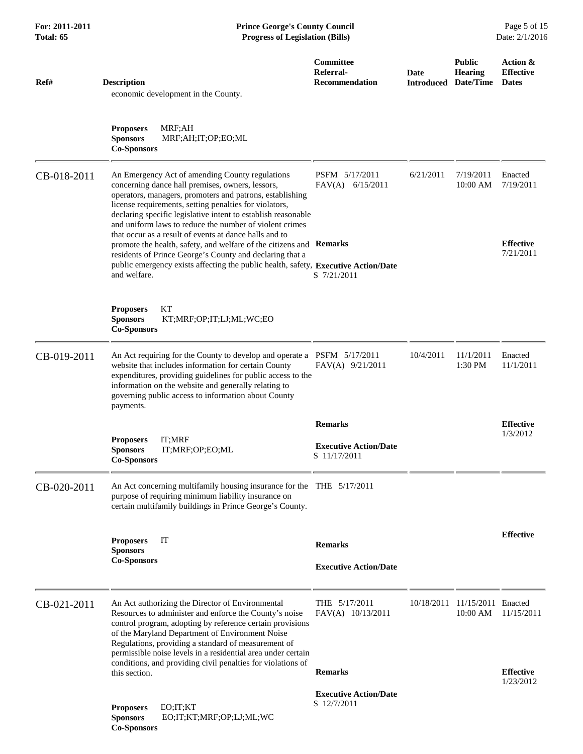| Ref#        | <b>Description</b><br>economic development in the County.                                                                                                                                                                                                                                                                                                                                                       | Committee<br>Referral-<br><b>Recommendation</b> | Date<br><b>Introduced</b> | <b>Public</b><br><b>Hearing</b><br>Date/Time | Action &<br><b>Effective</b><br><b>Dates</b> |
|-------------|-----------------------------------------------------------------------------------------------------------------------------------------------------------------------------------------------------------------------------------------------------------------------------------------------------------------------------------------------------------------------------------------------------------------|-------------------------------------------------|---------------------------|----------------------------------------------|----------------------------------------------|
|             | MRF;AH<br><b>Proposers</b><br><b>Sponsors</b><br>MRF;AH;IT;OP;EO;ML<br><b>Co-Sponsors</b>                                                                                                                                                                                                                                                                                                                       |                                                 |                           |                                              |                                              |
| CB-018-2011 | An Emergency Act of amending County regulations<br>concerning dance hall premises, owners, lessors,<br>operators, managers, promoters and patrons, establishing<br>license requirements, setting penalties for violators,<br>declaring specific legislative intent to establish reasonable<br>and uniform laws to reduce the number of violent crimes<br>that occur as a result of events at dance halls and to | PSFM 5/17/2011<br>FAV(A) 6/15/2011              | 6/21/2011                 | 7/19/2011<br>10:00 AM                        | Enacted<br>7/19/2011                         |
|             | promote the health, safety, and welfare of the citizens and Remarks<br>residents of Prince George's County and declaring that a<br>public emergency exists affecting the public health, safety, Executive Action/Date<br>and welfare.                                                                                                                                                                           | S 7/21/2011                                     |                           |                                              | <b>Effective</b><br>7/21/2011                |
|             | KT<br><b>Proposers</b><br><b>Sponsors</b><br>KT;MRF;OP;IT;LJ;ML;WC;EO<br><b>Co-Sponsors</b>                                                                                                                                                                                                                                                                                                                     |                                                 |                           |                                              |                                              |
| CB-019-2011 | An Act requiring for the County to develop and operate a PSFM 5/17/2011<br>website that includes information for certain County<br>expenditures, providing guidelines for public access to the<br>information on the website and generally relating to<br>governing public access to information about County<br>payments.                                                                                      | FAV(A) 9/21/2011                                | 10/4/2011                 | 11/1/2011<br>1:30 PM                         | Enacted<br>11/1/2011                         |
|             |                                                                                                                                                                                                                                                                                                                                                                                                                 | <b>Remarks</b>                                  |                           |                                              | <b>Effective</b>                             |
|             | IT;MRF<br><b>Proposers</b><br><b>Sponsors</b><br>IT;MRF;OP;EO;ML<br><b>Co-Sponsors</b>                                                                                                                                                                                                                                                                                                                          | <b>Executive Action/Date</b><br>S 11/17/2011    |                           |                                              | 1/3/2012                                     |
| CB-020-2011 | An Act concerning multifamily housing insurance for the THE 5/17/2011<br>purpose of requiring minimum liability insurance on<br>certain multifamily buildings in Prince George's County.                                                                                                                                                                                                                        |                                                 |                           |                                              |                                              |
|             | IT<br><b>Proposers</b><br><b>Sponsors</b><br><b>Co-Sponsors</b>                                                                                                                                                                                                                                                                                                                                                 | <b>Remarks</b><br><b>Executive Action/Date</b>  |                           |                                              | <b>Effective</b>                             |
| CB-021-2011 | An Act authorizing the Director of Environmental<br>Resources to administer and enforce the County's noise<br>control program, adopting by reference certain provisions<br>of the Maryland Department of Environment Noise<br>Regulations, providing a standard of measurement of<br>permissible noise levels in a residential area under certain                                                               | THE $5/17/2011$<br>FAV(A) 10/13/2011            |                           | 10/18/2011 11/15/2011 Enacted<br>10:00 AM    | 11/15/2011                                   |
|             | conditions, and providing civil penalties for violations of<br>this section.                                                                                                                                                                                                                                                                                                                                    | <b>Remarks</b>                                  |                           |                                              | <b>Effective</b>                             |
|             | EO;IT;KT<br><b>Proposers</b><br><b>Sponsors</b><br>EO;IT;KT;MRF;OP;LJ;ML;WC<br><b>Co-Sponsors</b>                                                                                                                                                                                                                                                                                                               | <b>Executive Action/Date</b><br>S 12/7/2011     |                           |                                              | 1/23/2012                                    |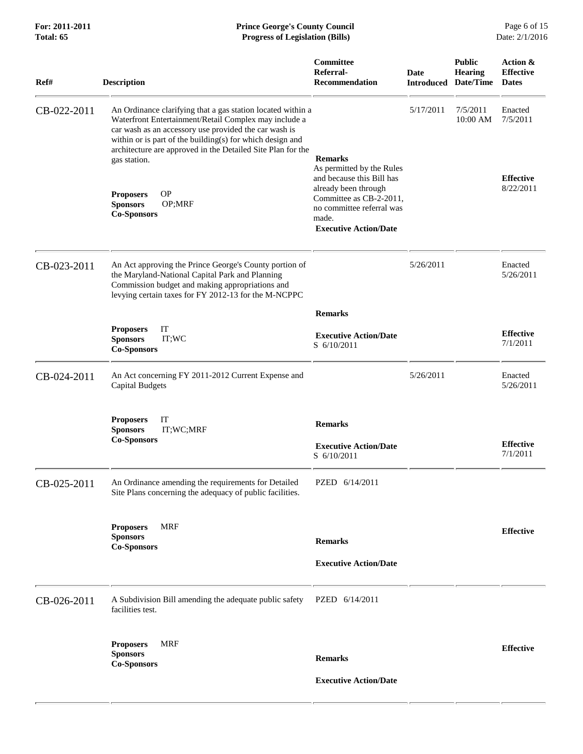| For: 2011-2011<br><b>Total: 65</b> | <b>Prince George's County Council</b><br><b>Progress of Legislation (Bills)</b><br>Date: 2/1/2016                                                                                                                                                                                                                         |                                                                                                                       |                                     |                                 |                                              |
|------------------------------------|---------------------------------------------------------------------------------------------------------------------------------------------------------------------------------------------------------------------------------------------------------------------------------------------------------------------------|-----------------------------------------------------------------------------------------------------------------------|-------------------------------------|---------------------------------|----------------------------------------------|
| Ref#                               | <b>Description</b>                                                                                                                                                                                                                                                                                                        | <b>Committee</b><br>Referral-<br>Recommendation                                                                       | Date<br><b>Introduced Date/Time</b> | <b>Public</b><br><b>Hearing</b> | Action &<br><b>Effective</b><br><b>Dates</b> |
| CB-022-2011                        | An Ordinance clarifying that a gas station located within a<br>Waterfront Entertainment/Retail Complex may include a<br>car wash as an accessory use provided the car wash is<br>within or is part of the building(s) for which design and<br>architecture are approved in the Detailed Site Plan for the<br>gas station. | <b>Remarks</b><br>As permitted by the Rules<br>and because this Bill has                                              | 5/17/2011                           | 7/5/2011<br>10:00 AM            | Enacted<br>7/5/2011<br><b>Effective</b>      |
|                                    | <b>OP</b><br><b>Proposers</b><br><b>Sponsors</b><br>OP;MRF<br><b>Co-Sponsors</b>                                                                                                                                                                                                                                          | already been through<br>Committee as CB-2-2011,<br>no committee referral was<br>made.<br><b>Executive Action/Date</b> |                                     |                                 | 8/22/2011                                    |
| CB-023-2011                        | An Act approving the Prince George's County portion of<br>the Maryland-National Capital Park and Planning<br>Commission budget and making appropriations and<br>levying certain taxes for FY 2012-13 for the M-NCPPC                                                                                                      |                                                                                                                       | 5/26/2011                           |                                 | Enacted<br>5/26/2011                         |
|                                    |                                                                                                                                                                                                                                                                                                                           | <b>Remarks</b>                                                                                                        |                                     |                                 |                                              |
|                                    | IT<br><b>Proposers</b><br>IT;WC<br><b>Sponsors</b><br><b>Co-Sponsors</b>                                                                                                                                                                                                                                                  | <b>Executive Action/Date</b><br>S 6/10/2011                                                                           |                                     |                                 | <b>Effective</b><br>7/1/2011                 |
| CB-024-2011                        | An Act concerning FY 2011-2012 Current Expense and<br><b>Capital Budgets</b>                                                                                                                                                                                                                                              |                                                                                                                       | 5/26/2011                           |                                 | Enacted<br>5/26/2011                         |
|                                    | IT<br><b>Proposers</b><br><b>Sponsors</b><br>IT;WC;MRF<br><b>Co-Sponsors</b>                                                                                                                                                                                                                                              | <b>Remarks</b><br><b>Executive Action/Date</b><br>S 6/10/2011                                                         |                                     |                                 | <b>Effective</b><br>7/1/2011                 |
| CB-025-2011                        | An Ordinance amending the requirements for Detailed<br>Site Plans concerning the adequacy of public facilities.                                                                                                                                                                                                           | PZED 6/14/2011                                                                                                        |                                     |                                 |                                              |
|                                    | <b>Proposers</b><br>MRF<br><b>Sponsors</b><br><b>Co-Sponsors</b>                                                                                                                                                                                                                                                          | <b>Remarks</b><br><b>Executive Action/Date</b>                                                                        |                                     |                                 | <b>Effective</b>                             |
|                                    |                                                                                                                                                                                                                                                                                                                           |                                                                                                                       |                                     |                                 |                                              |
| CB-026-2011                        | A Subdivision Bill amending the adequate public safety<br>facilities test.                                                                                                                                                                                                                                                | PZED 6/14/2011                                                                                                        |                                     |                                 |                                              |
|                                    | <b>MRF</b><br><b>Proposers</b><br><b>Sponsors</b><br><b>Co-Sponsors</b>                                                                                                                                                                                                                                                   | <b>Remarks</b>                                                                                                        |                                     |                                 | <b>Effective</b>                             |
|                                    |                                                                                                                                                                                                                                                                                                                           | <b>Executive Action/Date</b>                                                                                          |                                     |                                 |                                              |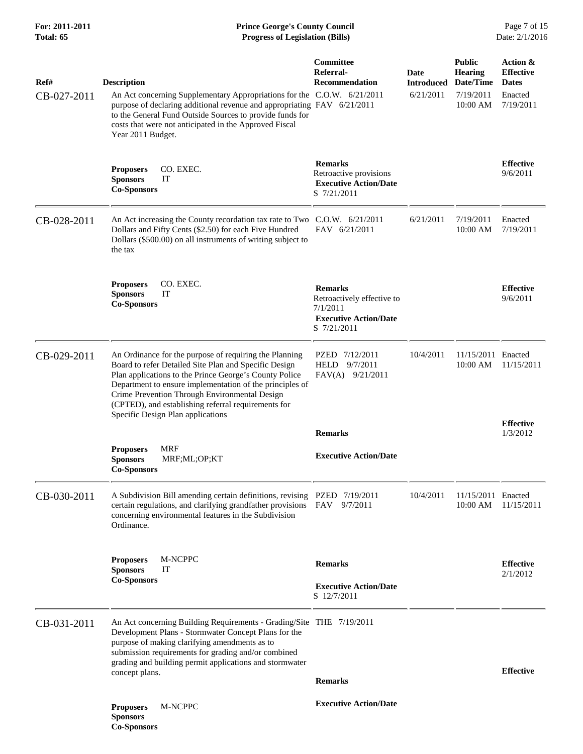## **For: 2011-2011 Prince George's County Council** Page 7 of 15<br> **Prince George's County Council** Page 7 of 15<br> **Progress of Legislation (Bills)** Date: 2/1/2016 **Total: 65 Progress of Legislation (Bills)**

| Ref#<br>CB-027-2011 | <b>Description</b><br>An Act concerning Supplementary Appropriations for the C.O.W. 6/21/2011<br>purpose of declaring additional revenue and appropriating FAV 6/21/2011<br>to the General Fund Outside Sources to provide funds for<br>costs that were not anticipated in the Approved Fiscal<br>Year 2011 Budget.                                                                | Committee<br>Referral-<br><b>Recommendation</b>                                                         | Date<br><b>Introduced</b><br>6/21/2011 | <b>Public</b><br><b>Hearing</b><br>Date/Time<br>7/19/2011<br>10:00 AM | Action &<br><b>Effective</b><br><b>Dates</b><br>Enacted<br>7/19/2011 |
|---------------------|------------------------------------------------------------------------------------------------------------------------------------------------------------------------------------------------------------------------------------------------------------------------------------------------------------------------------------------------------------------------------------|---------------------------------------------------------------------------------------------------------|----------------------------------------|-----------------------------------------------------------------------|----------------------------------------------------------------------|
|                     | CO. EXEC.<br><b>Proposers</b><br><b>Sponsors</b><br>IT<br><b>Co-Sponsors</b>                                                                                                                                                                                                                                                                                                       | <b>Remarks</b><br>Retroactive provisions<br><b>Executive Action/Date</b><br>S 7/21/2011                 |                                        |                                                                       | <b>Effective</b><br>9/6/2011                                         |
| CB-028-2011         | An Act increasing the County recordation tax rate to Two C.O.W. 6/21/2011<br>Dollars and Fifty Cents (\$2.50) for each Five Hundred<br>Dollars (\$500.00) on all instruments of writing subject to<br>the tax                                                                                                                                                                      | FAV 6/21/2011                                                                                           | 6/21/2011                              | 7/19/2011<br>10:00 AM                                                 | Enacted<br>7/19/2011                                                 |
|                     | <b>Proposers</b><br>CO. EXEC.<br>IT<br><b>Sponsors</b><br><b>Co-Sponsors</b>                                                                                                                                                                                                                                                                                                       | <b>Remarks</b><br>Retroactively effective to<br>7/1/2011<br><b>Executive Action/Date</b><br>S 7/21/2011 |                                        |                                                                       | <b>Effective</b><br>9/6/2011                                         |
| CB-029-2011         | An Ordinance for the purpose of requiring the Planning<br>Board to refer Detailed Site Plan and Specific Design<br>Plan applications to the Prince George's County Police<br>Department to ensure implementation of the principles of<br>Crime Prevention Through Environmental Design<br>(CPTED), and establishing referral requirements for<br>Specific Design Plan applications | PZED 7/12/2011<br>9/7/2011<br>HELD<br>$FAV(A)$ 9/21/2011                                                | 10/4/2011                              | 11/15/2011 Enacted<br>10:00 AM                                        | 11/15/2011                                                           |
|                     |                                                                                                                                                                                                                                                                                                                                                                                    | <b>Remarks</b>                                                                                          |                                        |                                                                       | <b>Effective</b><br>1/3/2012                                         |
|                     | <b>MRF</b><br><b>Proposers</b><br><b>Sponsors</b><br>MRF;ML;OP;KT<br><b>Co-Sponsors</b>                                                                                                                                                                                                                                                                                            | <b>Executive Action/Date</b>                                                                            |                                        |                                                                       |                                                                      |
| CB-030-2011         | A Subdivision Bill amending certain definitions, revising PZED 7/19/2011<br>certain regulations, and clarifying grandfather provisions FAV<br>concerning environmental features in the Subdivision<br>Ordinance.                                                                                                                                                                   | 9/7/2011                                                                                                | 10/4/2011                              | 11/15/2011 Enacted<br>10:00 AM                                        | 11/15/2011                                                           |
|                     | M-NCPPC<br><b>Proposers</b>                                                                                                                                                                                                                                                                                                                                                        | <b>Remarks</b>                                                                                          |                                        |                                                                       | <b>Effective</b>                                                     |
|                     | <b>Sponsors</b><br>IT<br><b>Co-Sponsors</b>                                                                                                                                                                                                                                                                                                                                        | <b>Executive Action/Date</b>                                                                            |                                        |                                                                       | 2/1/2012                                                             |
|                     |                                                                                                                                                                                                                                                                                                                                                                                    | S 12/7/2011                                                                                             |                                        |                                                                       |                                                                      |
| CB-031-2011         | An Act concerning Building Requirements - Grading/Site THE 7/19/2011<br>Development Plans - Stormwater Concept Plans for the<br>purpose of making clarifying amendments as to<br>submission requirements for grading and/or combined<br>grading and building permit applications and stormwater                                                                                    |                                                                                                         |                                        |                                                                       | <b>Effective</b>                                                     |
|                     | concept plans.                                                                                                                                                                                                                                                                                                                                                                     | <b>Remarks</b>                                                                                          |                                        |                                                                       |                                                                      |
|                     | <b>Proposers</b><br>M-NCPPC<br><b>Sponsors</b><br><b>Co-Sponsors</b>                                                                                                                                                                                                                                                                                                               | <b>Executive Action/Date</b>                                                                            |                                        |                                                                       |                                                                      |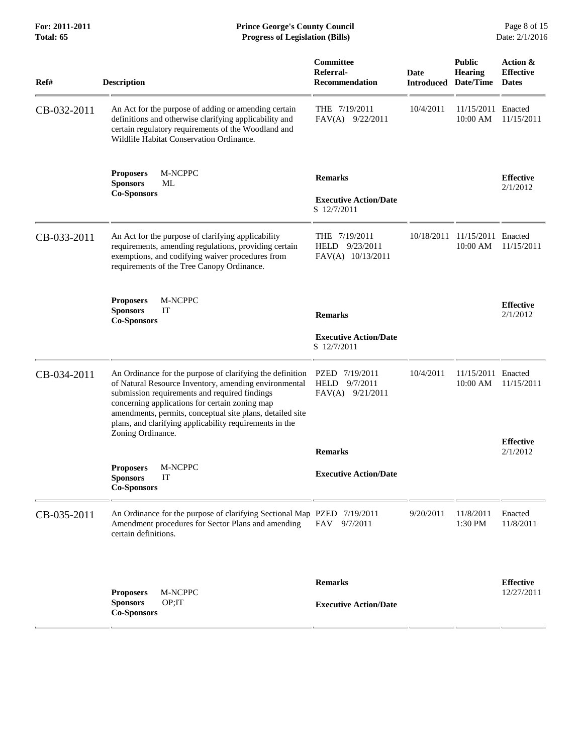| Ref#        | <b>Description</b>                                                                                                                                                                                                                                                                                                                            | Committee<br>Referral-<br>Recommendation                        | Date<br><b>Introduced</b> | <b>Public</b><br><b>Hearing</b><br>Date/Time | Action &<br><b>Effective</b><br><b>Dates</b> |
|-------------|-----------------------------------------------------------------------------------------------------------------------------------------------------------------------------------------------------------------------------------------------------------------------------------------------------------------------------------------------|-----------------------------------------------------------------|---------------------------|----------------------------------------------|----------------------------------------------|
| CB-032-2011 | An Act for the purpose of adding or amending certain<br>definitions and otherwise clarifying applicability and<br>certain regulatory requirements of the Woodland and<br>Wildlife Habitat Conservation Ordinance.                                                                                                                             | THE 7/19/2011<br>$FAV(A)$ 9/22/2011                             | 10/4/2011                 | 11/15/2011 Enacted<br>10:00 AM               | 11/15/2011                                   |
|             | M-NCPPC<br><b>Proposers</b><br><b>Sponsors</b><br>МL<br><b>Co-Sponsors</b>                                                                                                                                                                                                                                                                    | <b>Remarks</b><br><b>Executive Action/Date</b><br>S 12/7/2011   |                           |                                              | <b>Effective</b><br>2/1/2012                 |
| CB-033-2011 | An Act for the purpose of clarifying applicability<br>requirements, amending regulations, providing certain<br>exemptions, and codifying waiver procedures from<br>requirements of the Tree Canopy Ordinance.                                                                                                                                 | THE 7/19/2011<br>HELD 9/23/2011<br>FAV(A) 10/13/2011            | 10/18/2011                | 11/15/2011 Enacted<br>10:00 AM               | 11/15/2011                                   |
|             | <b>Proposers</b><br>M-NCPPC<br><b>Sponsors</b><br>IT<br><b>Co-Sponsors</b>                                                                                                                                                                                                                                                                    | <b>Remarks</b><br><b>Executive Action/Date</b><br>S 12/7/2011   |                           |                                              | <b>Effective</b><br>2/1/2012                 |
| CB-034-2011 | An Ordinance for the purpose of clarifying the definition<br>of Natural Resource Inventory, amending environmental<br>submission requirements and required findings<br>concerning applications for certain zoning map<br>amendments, permits, conceptual site plans, detailed site<br>plans, and clarifying applicability requirements in the | PZED 7/19/2011<br><b>HELD</b><br>9/7/2011<br>$FAV(A)$ 9/21/2011 | 10/4/2011                 | 11/15/2011 Enacted<br>10:00 AM               | 11/15/2011                                   |
|             | Zoning Ordinance.                                                                                                                                                                                                                                                                                                                             | <b>Remarks</b>                                                  |                           |                                              | <b>Effective</b><br>2/1/2012                 |
|             | M-NCPPC<br><b>Proposers</b><br>IT<br><b>Sponsors</b><br><b>Co-Sponsors</b>                                                                                                                                                                                                                                                                    | <b>Executive Action/Date</b>                                    |                           |                                              |                                              |
| CB-035-2011 | An Ordinance for the purpose of clarifying Sectional Map PZED 7/19/2011<br>Amendment procedures for Sector Plans and amending<br>certain definitions.                                                                                                                                                                                         | <b>FAV</b><br>9/7/2011                                          | 9/20/2011                 | 11/8/2011<br>1:30 PM                         | Enacted<br>11/8/2011                         |
|             | M-NCPPC<br><b>Proposers</b><br>OP;IT<br><b>Sponsors</b><br><b>Co-Sponsors</b>                                                                                                                                                                                                                                                                 | <b>Remarks</b><br><b>Executive Action/Date</b>                  |                           |                                              | <b>Effective</b><br>12/27/2011               |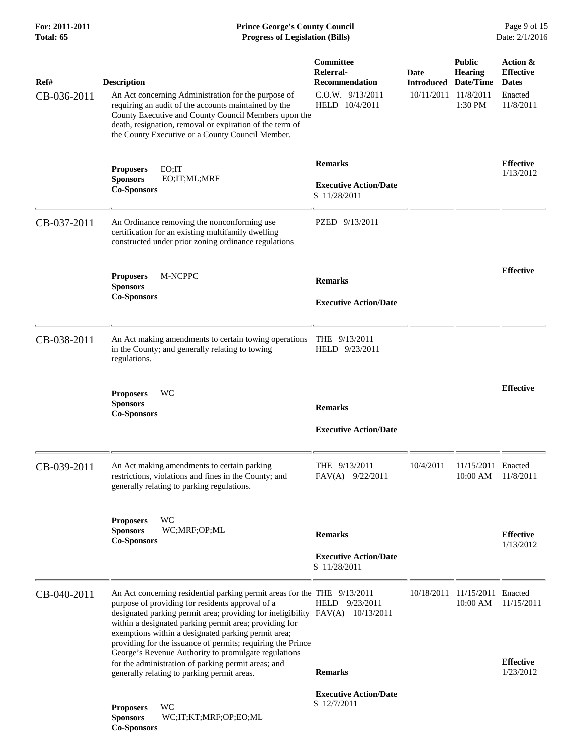## **For: 2011-2011 Prince George's County Council** Page 9 of 15<br> **Prince George's County Council** Page 9 of 15<br> **Progress of Legislation (Bills)** Date: 2/1/2016 **Total: 65 Progress of Legislation (Bills)**

| Ref#        | <b>Description</b>                                                                                                                                                                                                                                                                                                                                                                 | Committee<br>Referral-<br><b>Recommendation</b> | Date<br><b>Introduced</b> | <b>Public</b><br><b>Hearing</b><br>Date/Time | Action &<br><b>Effective</b><br><b>Dates</b> |
|-------------|------------------------------------------------------------------------------------------------------------------------------------------------------------------------------------------------------------------------------------------------------------------------------------------------------------------------------------------------------------------------------------|-------------------------------------------------|---------------------------|----------------------------------------------|----------------------------------------------|
| CB-036-2011 | An Act concerning Administration for the purpose of<br>requiring an audit of the accounts maintained by the<br>County Executive and County Council Members upon the<br>death, resignation, removal or expiration of the term of<br>the County Executive or a County Council Member.                                                                                                | $C.0.W.$ $9/13/2011$<br>HELD 10/4/2011          | 10/11/2011                | 11/8/2011<br>1:30 PM                         | Enacted<br>11/8/2011                         |
|             | <b>Proposers</b><br>EO;IT                                                                                                                                                                                                                                                                                                                                                          | <b>Remarks</b>                                  |                           |                                              | <b>Effective</b>                             |
|             | <b>Sponsors</b><br>EO;IT;ML;MRF<br><b>Co-Sponsors</b>                                                                                                                                                                                                                                                                                                                              | <b>Executive Action/Date</b><br>S 11/28/2011    |                           |                                              | 1/13/2012                                    |
| CB-037-2011 | An Ordinance removing the nonconforming use<br>certification for an existing multifamily dwelling<br>constructed under prior zoning ordinance regulations                                                                                                                                                                                                                          | PZED 9/13/2011                                  |                           |                                              |                                              |
|             | M-NCPPC<br><b>Proposers</b><br><b>Sponsors</b>                                                                                                                                                                                                                                                                                                                                     | <b>Remarks</b>                                  |                           |                                              | <b>Effective</b>                             |
|             | <b>Co-Sponsors</b>                                                                                                                                                                                                                                                                                                                                                                 | <b>Executive Action/Date</b>                    |                           |                                              |                                              |
| CB-038-2011 | An Act making amendments to certain towing operations<br>in the County; and generally relating to towing<br>regulations.                                                                                                                                                                                                                                                           | THE $9/13/2011$<br>HELD 9/23/2011               |                           |                                              |                                              |
|             | WC<br><b>Proposers</b><br><b>Sponsors</b>                                                                                                                                                                                                                                                                                                                                          |                                                 |                           |                                              | <b>Effective</b>                             |
|             | <b>Co-Sponsors</b>                                                                                                                                                                                                                                                                                                                                                                 | <b>Remarks</b>                                  |                           |                                              |                                              |
|             |                                                                                                                                                                                                                                                                                                                                                                                    | <b>Executive Action/Date</b>                    |                           |                                              |                                              |
| CB-039-2011 | An Act making amendments to certain parking<br>restrictions, violations and fines in the County; and<br>generally relating to parking regulations.                                                                                                                                                                                                                                 | THE 9/13/2011<br>FAV(A) 9/22/2011               | 10/4/2011                 | 11/15/2011 Enacted<br>10:00 AM               | 11/8/2011                                    |
|             | WC<br><b>Proposers</b><br>WC;MRF;OP;ML<br><b>Sponsors</b><br><b>Co-Sponsors</b>                                                                                                                                                                                                                                                                                                    | <b>Remarks</b>                                  |                           |                                              | <b>Effective</b><br>1/13/2012                |
|             |                                                                                                                                                                                                                                                                                                                                                                                    | <b>Executive Action/Date</b><br>S 11/28/2011    |                           |                                              |                                              |
| CB-040-2011 | An Act concerning residential parking permit areas for the THE 9/13/2011<br>purpose of providing for residents approval of a<br>designated parking permit area; providing for ineligibility FAV(A)<br>within a designated parking permit area; providing for<br>exemptions within a designated parking permit area;<br>providing for the issuance of permits; requiring the Prince | HELD 9/23/2011<br>10/13/2011                    |                           | 10/18/2011 11/15/2011 Enacted<br>10:00 AM    | 11/15/2011                                   |
|             | George's Revenue Authority to promulgate regulations<br>for the administration of parking permit areas; and<br>generally relating to parking permit areas.                                                                                                                                                                                                                         | <b>Remarks</b>                                  |                           |                                              | <b>Effective</b><br>1/23/2012                |
|             | WC<br><b>Proposers</b><br><b>Sponsors</b><br>WC;IT;KT;MRF;OP;EO;ML<br><b>Co-Sponsors</b>                                                                                                                                                                                                                                                                                           | <b>Executive Action/Date</b><br>S 12/7/2011     |                           |                                              |                                              |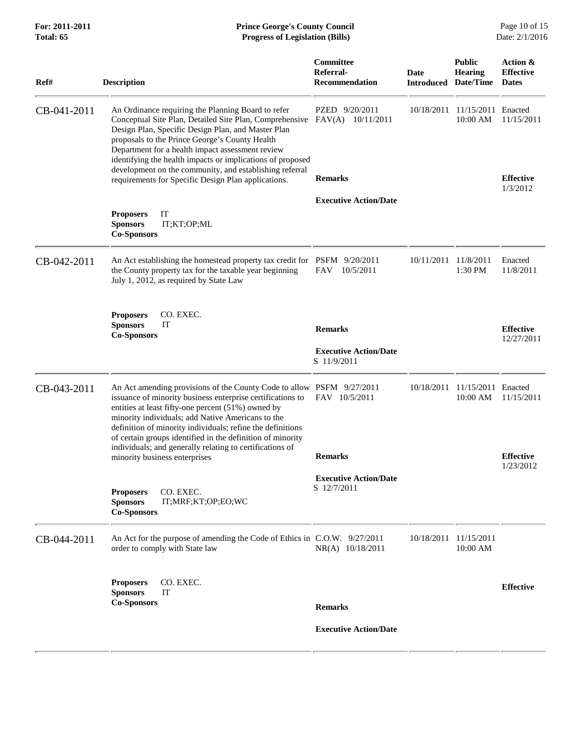| For: 2011-2011<br>Total: 65 | <b>Prince George's County Council</b><br><b>Progress of Legislation (Bills)</b>                                                                                                                                                                                                                                                                                                                                                        |                                             |                                     |                                   | Page 10 of 15<br>Date: 2/1/2016              |
|-----------------------------|----------------------------------------------------------------------------------------------------------------------------------------------------------------------------------------------------------------------------------------------------------------------------------------------------------------------------------------------------------------------------------------------------------------------------------------|---------------------------------------------|-------------------------------------|-----------------------------------|----------------------------------------------|
| Ref#                        | <b>Description</b>                                                                                                                                                                                                                                                                                                                                                                                                                     | Committee<br>Referral-<br>Recommendation    | Date<br><b>Introduced Date/Time</b> | <b>Public</b><br><b>Hearing</b>   | Action &<br><b>Effective</b><br><b>Dates</b> |
| CB-041-2011                 | An Ordinance requiring the Planning Board to refer<br>Conceptual Site Plan, Detailed Site Plan, Comprehensive<br>Design Plan, Specific Design Plan, and Master Plan<br>proposals to the Prince George's County Health<br>Department for a health impact assessment review<br>identifying the health impacts or implications of proposed                                                                                                | PZED 9/20/2011<br>$FAV(A)$ 10/11/2011       | 10/18/2011                          | 11/15/2011<br>10:00 AM            | Enacted<br>11/15/2011                        |
|                             | development on the community, and establishing referral<br>requirements for Specific Design Plan applications.                                                                                                                                                                                                                                                                                                                         | <b>Remarks</b>                              |                                     |                                   | <b>Effective</b><br>1/3/2012                 |
|                             |                                                                                                                                                                                                                                                                                                                                                                                                                                        | <b>Executive Action/Date</b>                |                                     |                                   |                                              |
|                             | IT<br><b>Proposers</b><br><b>Sponsors</b><br>IT;KT;OP;ML<br><b>Co-Sponsors</b>                                                                                                                                                                                                                                                                                                                                                         |                                             |                                     |                                   |                                              |
| CB-042-2011                 | An Act establishing the homestead property tax credit for PSFM 9/20/2011<br>the County property tax for the taxable year beginning<br>July 1, 2012, as required by State Law                                                                                                                                                                                                                                                           | 10/5/2011<br>FAV.                           | 10/11/2011 11/8/2011                | 1:30 PM                           | Enacted<br>11/8/2011                         |
|                             | <b>Proposers</b><br>CO. EXEC.<br><b>Sponsors</b><br>IT<br><b>Co-Sponsors</b>                                                                                                                                                                                                                                                                                                                                                           | <b>Remarks</b>                              |                                     |                                   | <b>Effective</b><br>12/27/2011               |
|                             |                                                                                                                                                                                                                                                                                                                                                                                                                                        | <b>Executive Action/Date</b><br>S 11/9/2011 |                                     |                                   |                                              |
| CB-043-2011                 | An Act amending provisions of the County Code to allow PSFM 9/27/2011<br>issuance of minority business enterprise certifications to<br>entities at least fifty-one percent (51%) owned by<br>minority individuals; add Native Americans to the<br>definition of minority individuals; refine the definitions<br>of certain groups identified in the definition of minority<br>individuals; and generally relating to certifications of | FAV 10/5/2011                               | 10/18/2011                          | 11/15/2011 Enacted<br>10:00 AM    | 11/15/2011                                   |
|                             | minority business enterprises                                                                                                                                                                                                                                                                                                                                                                                                          | <b>Remarks</b>                              |                                     |                                   | <b>Effective</b><br>1/23/2012                |
|                             | CO. EXEC.<br><b>Proposers</b><br><b>Sponsors</b><br>IT;MRF;KT;OP;EO;WC<br><b>Co-Sponsors</b>                                                                                                                                                                                                                                                                                                                                           | <b>Executive Action/Date</b><br>S 12/7/2011 |                                     |                                   |                                              |
| CB-044-2011                 | An Act for the purpose of amending the Code of Ethics in C.O.W. 9/27/2011<br>order to comply with State law                                                                                                                                                                                                                                                                                                                            | NR(A) 10/18/2011                            |                                     | 10/18/2011 11/15/2011<br>10:00 AM |                                              |
|                             | CO. EXEC.<br><b>Proposers</b><br><b>Sponsors</b><br>IT                                                                                                                                                                                                                                                                                                                                                                                 |                                             |                                     |                                   | <b>Effective</b>                             |
|                             | <b>Co-Sponsors</b>                                                                                                                                                                                                                                                                                                                                                                                                                     | <b>Remarks</b>                              |                                     |                                   |                                              |
|                             |                                                                                                                                                                                                                                                                                                                                                                                                                                        | <b>Executive Action/Date</b>                |                                     |                                   |                                              |
|                             |                                                                                                                                                                                                                                                                                                                                                                                                                                        |                                             |                                     |                                   |                                              |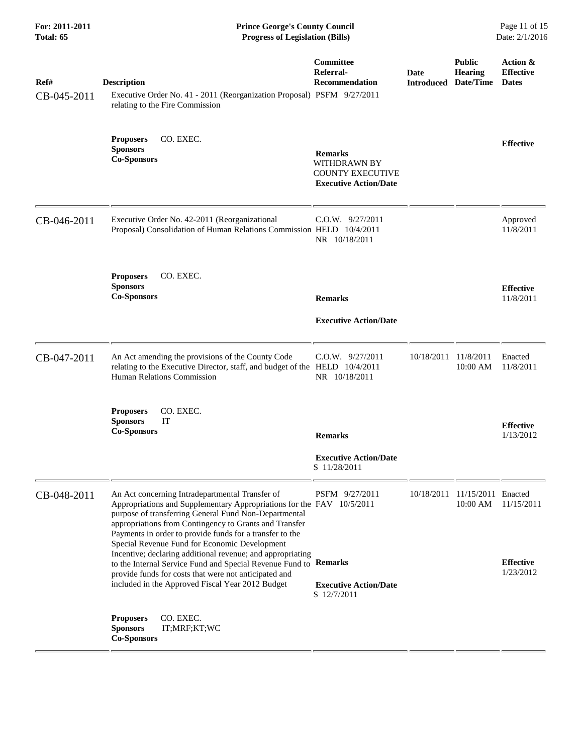| For: 2011-2011<br>Total: 65 | <b>Prince George's County Council</b><br><b>Progress of Legislation (Bills)</b>                                                                                                                                                                                                                                                                                                                                                                                                                                                                                                                         |                                                                                                  |                                     | Page 11 of 15<br>Date: 2/1/2016           |                                              |
|-----------------------------|---------------------------------------------------------------------------------------------------------------------------------------------------------------------------------------------------------------------------------------------------------------------------------------------------------------------------------------------------------------------------------------------------------------------------------------------------------------------------------------------------------------------------------------------------------------------------------------------------------|--------------------------------------------------------------------------------------------------|-------------------------------------|-------------------------------------------|----------------------------------------------|
| Ref#<br>CB-045-2011         | <b>Description</b><br>Executive Order No. 41 - 2011 (Reorganization Proposal) PSFM 9/27/2011<br>relating to the Fire Commission                                                                                                                                                                                                                                                                                                                                                                                                                                                                         | Committee<br>Referral-<br><b>Recommendation</b>                                                  | Date<br><b>Introduced Date/Time</b> | <b>Public</b><br><b>Hearing</b>           | Action &<br><b>Effective</b><br><b>Dates</b> |
|                             | CO. EXEC.<br><b>Proposers</b><br><b>Sponsors</b><br><b>Co-Sponsors</b>                                                                                                                                                                                                                                                                                                                                                                                                                                                                                                                                  | <b>Remarks</b><br><b>WITHDRAWN BY</b><br><b>COUNTY EXECUTIVE</b><br><b>Executive Action/Date</b> |                                     |                                           | <b>Effective</b>                             |
| CB-046-2011                 | Executive Order No. 42-2011 (Reorganizational<br>Proposal) Consolidation of Human Relations Commission HELD 10/4/2011                                                                                                                                                                                                                                                                                                                                                                                                                                                                                   | $C.0.W.$ 9/27/2011<br>NR 10/18/2011                                                              |                                     |                                           | Approved<br>11/8/2011                        |
|                             | CO. EXEC.<br><b>Proposers</b><br><b>Sponsors</b><br><b>Co-Sponsors</b>                                                                                                                                                                                                                                                                                                                                                                                                                                                                                                                                  | <b>Remarks</b><br><b>Executive Action/Date</b>                                                   |                                     |                                           | <b>Effective</b><br>11/8/2011                |
| CB-047-2011                 | An Act amending the provisions of the County Code<br>relating to the Executive Director, staff, and budget of the HELD 10/4/2011<br>Human Relations Commission                                                                                                                                                                                                                                                                                                                                                                                                                                          | C.O.W. 9/27/2011<br>NR 10/18/2011                                                                | 10/18/2011                          | 11/8/2011<br>10:00 AM                     | Enacted<br>11/8/2011                         |
|                             | CO. EXEC.<br><b>Proposers</b><br><b>Sponsors</b><br>IT<br><b>Co-Sponsors</b>                                                                                                                                                                                                                                                                                                                                                                                                                                                                                                                            | <b>Remarks</b><br><b>Executive Action/Date</b><br>S 11/28/2011                                   |                                     |                                           | <b>Effective</b><br>1/13/2012                |
| CB-048-2011                 | An Act concerning Intradepartmental Transfer of<br>Appropriations and Supplementary Appropriations for the FAV 10/5/2011<br>purpose of transferring General Fund Non-Departmental<br>appropriations from Contingency to Grants and Transfer<br>Payments in order to provide funds for a transfer to the<br>Special Revenue Fund for Economic Development<br>Incentive; declaring additional revenue; and appropriating<br>to the Internal Service Fund and Special Revenue Fund to Remarks<br>provide funds for costs that were not anticipated and<br>included in the Approved Fiscal Year 2012 Budget | PSFM 9/27/2011<br><b>Executive Action/Date</b><br>S 12/7/2011                                    |                                     | 10/18/2011 11/15/2011 Enacted<br>10:00 AM | 11/15/2011<br><b>Effective</b><br>1/23/2012  |
|                             | CO. EXEC.<br><b>Proposers</b><br><b>Sponsors</b><br>IT;MRF;KT;WC<br><b>Co-Sponsors</b>                                                                                                                                                                                                                                                                                                                                                                                                                                                                                                                  |                                                                                                  |                                     |                                           |                                              |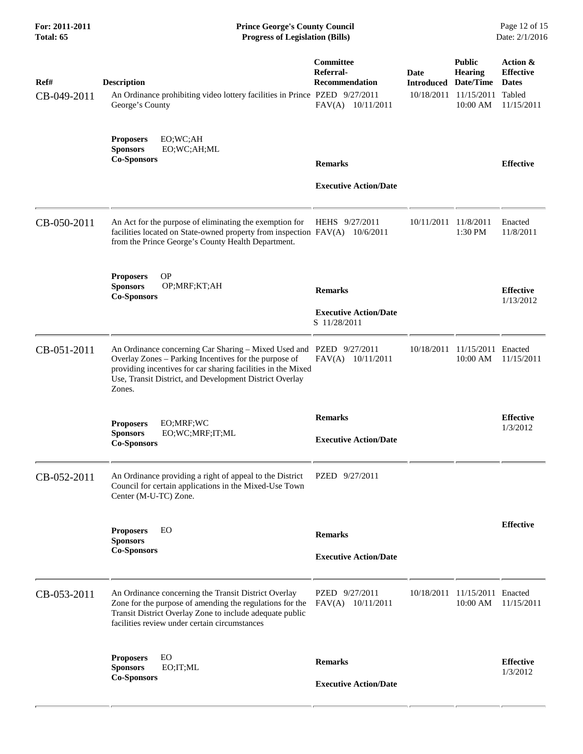| For: 2011-2011<br>Total: 65 | <b>Prince George's County Council</b><br><b>Progress of Legislation (Bills)</b>                                                                                                                                                                                   |                                                                             |                                     |                                                                      | Page 12 of 15<br>Date: 2/1/2016                                      |  |
|-----------------------------|-------------------------------------------------------------------------------------------------------------------------------------------------------------------------------------------------------------------------------------------------------------------|-----------------------------------------------------------------------------|-------------------------------------|----------------------------------------------------------------------|----------------------------------------------------------------------|--|
| Ref#<br>CB-049-2011         | <b>Description</b><br>An Ordinance prohibiting video lottery facilities in Prince PZED 9/27/2011<br>George's County                                                                                                                                               | <b>Committee</b><br>Referral-<br><b>Recommendation</b><br>FAV(A) 10/11/2011 | Date<br><b>Introduced Date/Time</b> | <b>Public</b><br><b>Hearing</b><br>10/18/2011 11/15/2011<br>10:00 AM | Action &<br><b>Effective</b><br><b>Dates</b><br>Tabled<br>11/15/2011 |  |
|                             | EO;WC;AH<br><b>Proposers</b><br>EO;WC;AH;ML<br><b>Sponsors</b><br><b>Co-Sponsors</b>                                                                                                                                                                              | <b>Remarks</b><br><b>Executive Action/Date</b>                              |                                     |                                                                      | <b>Effective</b>                                                     |  |
| CB-050-2011                 | An Act for the purpose of eliminating the exemption for<br>facilities located on State-owned property from inspection FAV(A) 10/6/2011<br>from the Prince George's County Health Department.                                                                      | HEHS 9/27/2011                                                              | 10/11/2011 11/8/2011                | 1:30 PM                                                              | Enacted<br>11/8/2011                                                 |  |
|                             | <b>OP</b><br><b>Proposers</b><br><b>Sponsors</b><br>OP;MRF;KT;AH<br><b>Co-Sponsors</b>                                                                                                                                                                            | <b>Remarks</b><br><b>Executive Action/Date</b><br>S 11/28/2011              |                                     |                                                                      | <b>Effective</b><br>1/13/2012                                        |  |
| CB-051-2011                 | An Ordinance concerning Car Sharing - Mixed Used and PZED 9/27/2011<br>Overlay Zones - Parking Incentives for the purpose of<br>providing incentives for car sharing facilities in the Mixed<br>Use, Transit District, and Development District Overlay<br>Zones. | $FAV(A)$ 10/11/2011                                                         |                                     | 10/18/2011 11/15/2011 Enacted<br>10:00 AM                            | 11/15/2011                                                           |  |
|                             | <b>Proposers</b><br>EO;MRF;WC<br>EO;WC;MRF;IT;ML<br><b>Sponsors</b><br><b>Co-Sponsors</b>                                                                                                                                                                         | <b>Remarks</b><br><b>Executive Action/Date</b>                              |                                     |                                                                      | <b>Effective</b><br>1/3/2012                                         |  |
| CB-052-2011                 | An Ordinance providing a right of appeal to the District<br>Council for certain applications in the Mixed-Use Town<br>Center (M-U-TC) Zone.                                                                                                                       | PZED 9/27/2011                                                              |                                     |                                                                      |                                                                      |  |
|                             | EO<br><b>Proposers</b><br><b>Sponsors</b><br><b>Co-Sponsors</b>                                                                                                                                                                                                   | <b>Remarks</b><br><b>Executive Action/Date</b>                              |                                     |                                                                      | <b>Effective</b>                                                     |  |
| CB-053-2011                 | An Ordinance concerning the Transit District Overlay<br>Zone for the purpose of amending the regulations for the<br>Transit District Overlay Zone to include adequate public<br>facilities review under certain circumstances                                     | PZED 9/27/2011<br>FAV(A) 10/11/2011                                         |                                     | 10/18/2011 11/15/2011 Enacted<br>10:00 AM                            | 11/15/2011                                                           |  |
|                             | <b>Proposers</b><br>EO<br><b>Sponsors</b><br>EO; IT; ML<br><b>Co-Sponsors</b>                                                                                                                                                                                     | <b>Remarks</b><br><b>Executive Action/Date</b>                              |                                     |                                                                      | <b>Effective</b><br>1/3/2012                                         |  |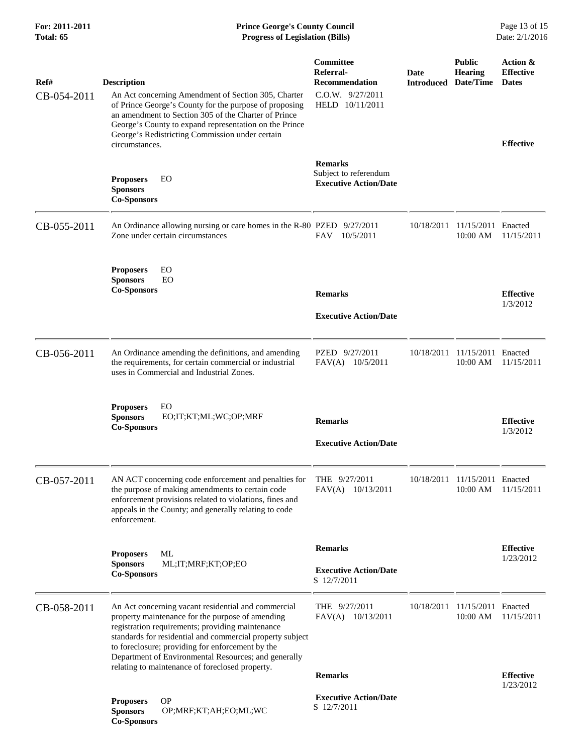| Ref#        | <b>Description</b>                                                                                                                                                                                                                                                                                                                                                                      | Committee<br>Referral-<br>Recommendation                                | Date<br><b>Introduced Date/Time</b> | <b>Public</b><br><b>Hearing</b>           | Action &<br><b>Effective</b><br><b>Dates</b> |
|-------------|-----------------------------------------------------------------------------------------------------------------------------------------------------------------------------------------------------------------------------------------------------------------------------------------------------------------------------------------------------------------------------------------|-------------------------------------------------------------------------|-------------------------------------|-------------------------------------------|----------------------------------------------|
| CB-054-2011 | An Act concerning Amendment of Section 305, Charter<br>of Prince George's County for the purpose of proposing<br>an amendment to Section 305 of the Charter of Prince<br>George's County to expand representation on the Prince<br>George's Redistricting Commission under certain<br>circumstances.                                                                                    | C.O.W. 9/27/2011<br>HELD 10/11/2011                                     |                                     |                                           | <b>Effective</b>                             |
|             | EO<br><b>Proposers</b><br><b>Sponsors</b><br><b>Co-Sponsors</b>                                                                                                                                                                                                                                                                                                                         | <b>Remarks</b><br>Subject to referendum<br><b>Executive Action/Date</b> |                                     |                                           |                                              |
| CB-055-2011 | An Ordinance allowing nursing or care homes in the R-80 PZED 9/27/2011<br>Zone under certain circumstances                                                                                                                                                                                                                                                                              | 10/5/2011<br><b>FAV</b>                                                 |                                     | 10/18/2011 11/15/2011 Enacted<br>10:00 AM | 11/15/2011                                   |
|             | <b>Proposers</b><br>EO.<br>EO<br><b>Sponsors</b><br><b>Co-Sponsors</b>                                                                                                                                                                                                                                                                                                                  | <b>Remarks</b><br><b>Executive Action/Date</b>                          |                                     |                                           | <b>Effective</b><br>1/3/2012                 |
| CB-056-2011 | An Ordinance amending the definitions, and amending<br>the requirements, for certain commercial or industrial<br>uses in Commercial and Industrial Zones.                                                                                                                                                                                                                               | PZED 9/27/2011<br>FAV(A) 10/5/2011                                      | 10/18/2011                          | 11/15/2011 Enacted<br>10:00 AM            | 11/15/2011                                   |
|             | <b>Proposers</b><br>EO<br><b>Sponsors</b><br>EO;IT;KT;ML;WC;OP;MRF<br><b>Co-Sponsors</b>                                                                                                                                                                                                                                                                                                | <b>Remarks</b><br><b>Executive Action/Date</b>                          |                                     |                                           | <b>Effective</b><br>1/3/2012                 |
| CB-057-2011 | AN ACT concerning code enforcement and penalties for THE 9/27/2011<br>the purpose of making amendments to certain code<br>enforcement provisions related to violations, fines and<br>appeals in the County; and generally relating to code<br>enforcement.                                                                                                                              | 10/13/2011<br>FAV(A)                                                    |                                     | 10/18/2011 11/15/2011 Enacted<br>10:00 AM | 11/15/2011                                   |
|             | ML<br><b>Proposers</b><br><b>Sponsors</b><br>ML;IT;MRF;KT;OP;EO<br><b>Co-Sponsors</b>                                                                                                                                                                                                                                                                                                   | <b>Remarks</b><br><b>Executive Action/Date</b><br>S 12/7/2011           |                                     |                                           | <b>Effective</b><br>1/23/2012                |
| CB-058-2011 | An Act concerning vacant residential and commercial<br>property maintenance for the purpose of amending<br>registration requirements; providing maintenance<br>standards for residential and commercial property subject<br>to foreclosure; providing for enforcement by the<br>Department of Environmental Resources; and generally<br>relating to maintenance of foreclosed property. | THE $9/27/2011$<br>FAV(A) 10/13/2011                                    | 10/18/2011                          | 11/15/2011<br>10:00 AM                    | Enacted<br>11/15/2011                        |
|             | <b>Proposers</b><br><b>OP</b><br><b>Sponsors</b><br>OP;MRF;KT;AH;EO;ML;WC<br><b>Co-Sponsors</b>                                                                                                                                                                                                                                                                                         | <b>Remarks</b><br><b>Executive Action/Date</b><br>S 12/7/2011           |                                     |                                           | <b>Effective</b><br>1/23/2012                |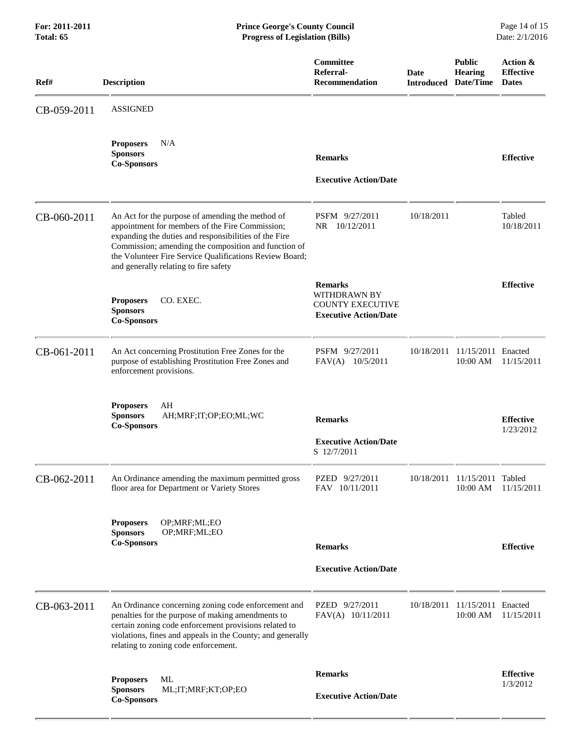| Ref#        | <b>Description</b>                                                                                                                                                                                                                                                                                                       | <b>Committee</b><br>Referral-<br>Recommendation                                                  | Date<br><b>Introduced</b> | <b>Public</b><br><b>Hearing</b><br>Date/Time | Action &<br><b>Effective</b><br><b>Dates</b> |
|-------------|--------------------------------------------------------------------------------------------------------------------------------------------------------------------------------------------------------------------------------------------------------------------------------------------------------------------------|--------------------------------------------------------------------------------------------------|---------------------------|----------------------------------------------|----------------------------------------------|
| CB-059-2011 | <b>ASSIGNED</b>                                                                                                                                                                                                                                                                                                          |                                                                                                  |                           |                                              |                                              |
|             | <b>Proposers</b><br>N/A<br><b>Sponsors</b><br><b>Co-Sponsors</b>                                                                                                                                                                                                                                                         | <b>Remarks</b><br><b>Executive Action/Date</b>                                                   |                           |                                              | <b>Effective</b>                             |
| CB-060-2011 | An Act for the purpose of amending the method of<br>appointment for members of the Fire Commission;<br>expanding the duties and responsibilities of the Fire<br>Commission; amending the composition and function of<br>the Volunteer Fire Service Qualifications Review Board;<br>and generally relating to fire safety | PSFM 9/27/2011<br>NR 10/12/2011                                                                  | 10/18/2011                |                                              | Tabled<br>10/18/2011                         |
|             | CO. EXEC.<br><b>Proposers</b><br><b>Sponsors</b><br><b>Co-Sponsors</b>                                                                                                                                                                                                                                                   | <b>Remarks</b><br><b>WITHDRAWN BY</b><br><b>COUNTY EXECUTIVE</b><br><b>Executive Action/Date</b> |                           |                                              | <b>Effective</b>                             |
| CB-061-2011 | An Act concerning Prostitution Free Zones for the<br>purpose of establishing Prostitution Free Zones and<br>enforcement provisions.                                                                                                                                                                                      | PSFM 9/27/2011<br>FAV(A) 10/5/2011                                                               | 10/18/2011                | 11/15/2011 Enacted<br>10:00 AM               | 11/15/2011                                   |
|             | AH<br><b>Proposers</b><br><b>Sponsors</b><br>AH;MRF;IT;OP;EO;ML;WC<br><b>Co-Sponsors</b>                                                                                                                                                                                                                                 | <b>Remarks</b><br><b>Executive Action/Date</b><br>S 12/7/2011                                    |                           |                                              | <b>Effective</b><br>1/23/2012                |
| CB-062-2011 | An Ordinance amending the maximum permitted gross<br>floor area for Department or Variety Stores                                                                                                                                                                                                                         | PZED 9/27/2011<br>FAV 10/11/2011                                                                 |                           | 10/18/2011 11/15/2011 Tabled                 | 10:00 AM 11/15/2011                          |
|             | OP;MRF;ML;EO<br><b>Proposers</b><br><b>Sponsors</b><br>OP;MRF;ML;EO<br><b>Co-Sponsors</b>                                                                                                                                                                                                                                | <b>Remarks</b><br><b>Executive Action/Date</b>                                                   |                           |                                              | <b>Effective</b>                             |
| CB-063-2011 | An Ordinance concerning zoning code enforcement and<br>penalties for the purpose of making amendments to<br>certain zoning code enforcement provisions related to<br>violations, fines and appeals in the County; and generally<br>relating to zoning code enforcement.                                                  | PZED 9/27/2011<br>FAV(A) 10/11/2011                                                              | 10/18/2011                | 11/15/2011 Enacted<br>10:00 AM               | 11/15/2011                                   |
|             | ML<br><b>Proposers</b><br><b>Sponsors</b><br>ML;IT;MRF;KT;OP;EO<br><b>Co-Sponsors</b>                                                                                                                                                                                                                                    | <b>Remarks</b><br><b>Executive Action/Date</b>                                                   |                           |                                              | <b>Effective</b><br>1/3/2012                 |